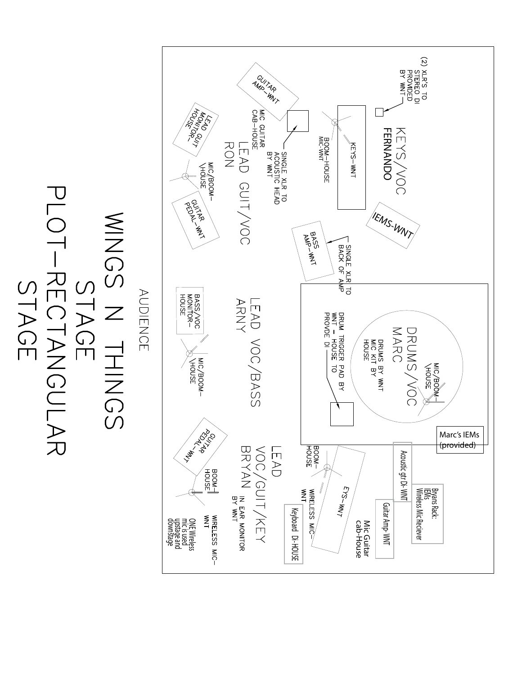